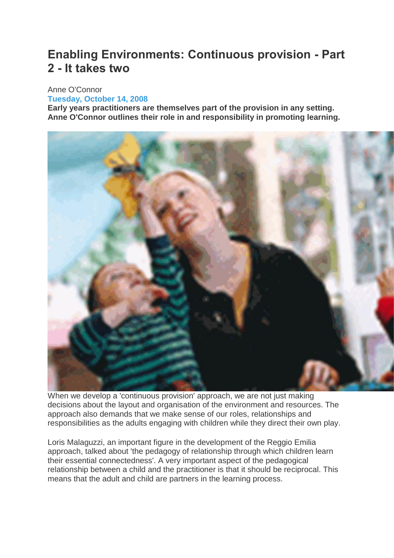# **Enabling Environments: Continuous provision - Part 2 - It takes two**

#### Anne O'Connor **Tuesday, October 14, 2008**

**Early years practitioners are themselves part of the provision in any setting. Anne O'Connor outlines their role in and responsibility in promoting learning.**



When we develop a 'continuous provision' approach, we are not just making decisions about the layout and organisation of the environment and resources. The approach also demands that we make sense of our roles, relationships and responsibilities as the adults engaging with children while they direct their own play.

Loris Malaguzzi, an important figure in the development of the Reggio Emilia approach, talked about 'the pedagogy of relationship through which children learn their essential connectedness'. A very important aspect of the pedagogical relationship between a child and the practitioner is that it should be reciprocal. This means that the adult and child are partners in the learning process.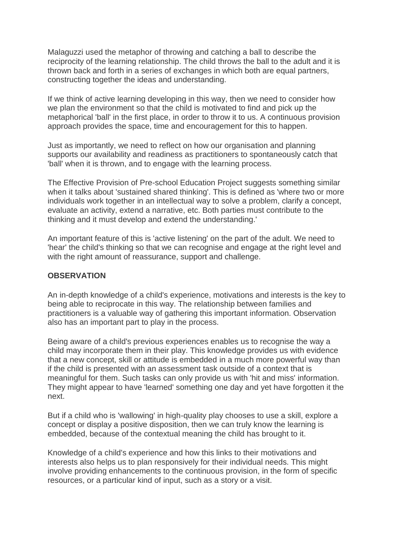Malaguzzi used the metaphor of throwing and catching a ball to describe the reciprocity of the learning relationship. The child throws the ball to the adult and it is thrown back and forth in a series of exchanges in which both are equal partners, constructing together the ideas and understanding.

If we think of active learning developing in this way, then we need to consider how we plan the environment so that the child is motivated to find and pick up the metaphorical 'ball' in the first place, in order to throw it to us. A continuous provision approach provides the space, time and encouragement for this to happen.

Just as importantly, we need to reflect on how our organisation and planning supports our availability and readiness as practitioners to spontaneously catch that 'ball' when it is thrown, and to engage with the learning process.

The Effective Provision of Pre-school Education Project suggests something similar when it talks about 'sustained shared thinking'. This is defined as 'where two or more individuals work together in an intellectual way to solve a problem, clarify a concept, evaluate an activity, extend a narrative, etc. Both parties must contribute to the thinking and it must develop and extend the understanding.'

An important feature of this is 'active listening' on the part of the adult. We need to 'hear' the child's thinking so that we can recognise and engage at the right level and with the right amount of reassurance, support and challenge.

## **OBSERVATION**

An in-depth knowledge of a child's experience, motivations and interests is the key to being able to reciprocate in this way. The relationship between families and practitioners is a valuable way of gathering this important information. Observation also has an important part to play in the process.

Being aware of a child's previous experiences enables us to recognise the way a child may incorporate them in their play. This knowledge provides us with evidence that a new concept, skill or attitude is embedded in a much more powerful way than if the child is presented with an assessment task outside of a context that is meaningful for them. Such tasks can only provide us with 'hit and miss' information. They might appear to have 'learned' something one day and yet have forgotten it the next.

But if a child who is 'wallowing' in high-quality play chooses to use a skill, explore a concept or display a positive disposition, then we can truly know the learning is embedded, because of the contextual meaning the child has brought to it.

Knowledge of a child's experience and how this links to their motivations and interests also helps us to plan responsively for their individual needs. This might involve providing enhancements to the continuous provision, in the form of specific resources, or a particular kind of input, such as a story or a visit.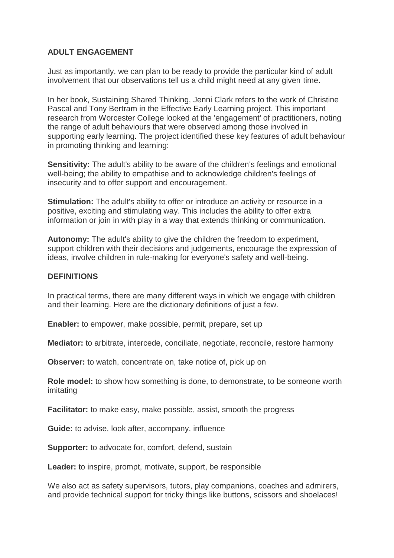# **ADULT ENGAGEMENT**

Just as importantly, we can plan to be ready to provide the particular kind of adult involvement that our observations tell us a child might need at any given time.

In her book, Sustaining Shared Thinking, Jenni Clark refers to the work of Christine Pascal and Tony Bertram in the Effective Early Learning project. This important research from Worcester College looked at the 'engagement' of practitioners, noting the range of adult behaviours that were observed among those involved in supporting early learning. The project identified these key features of adult behaviour in promoting thinking and learning:

**Sensitivity:** The adult's ability to be aware of the children's feelings and emotional well-being; the ability to empathise and to acknowledge children's feelings of insecurity and to offer support and encouragement.

**Stimulation:** The adult's ability to offer or introduce an activity or resource in a positive, exciting and stimulating way. This includes the ability to offer extra information or join in with play in a way that extends thinking or communication.

**Autonomy:** The adult's ability to give the children the freedom to experiment, support children with their decisions and judgements, encourage the expression of ideas, involve children in rule-making for everyone's safety and well-being.

#### **DEFINITIONS**

In practical terms, there are many different ways in which we engage with children and their learning. Here are the dictionary definitions of just a few.

**Enabler:** to empower, make possible, permit, prepare, set up

**Mediator:** to arbitrate, intercede, conciliate, negotiate, reconcile, restore harmony

**Observer:** to watch, concentrate on, take notice of, pick up on

**Role model:** to show how something is done, to demonstrate, to be someone worth imitating

**Facilitator:** to make easy, make possible, assist, smooth the progress

**Guide:** to advise, look after, accompany, influence

**Supporter:** to advocate for, comfort, defend, sustain

**Leader:** to inspire, prompt, motivate, support, be responsible

We also act as safety supervisors, tutors, play companions, coaches and admirers, and provide technical support for tricky things like buttons, scissors and shoelaces!